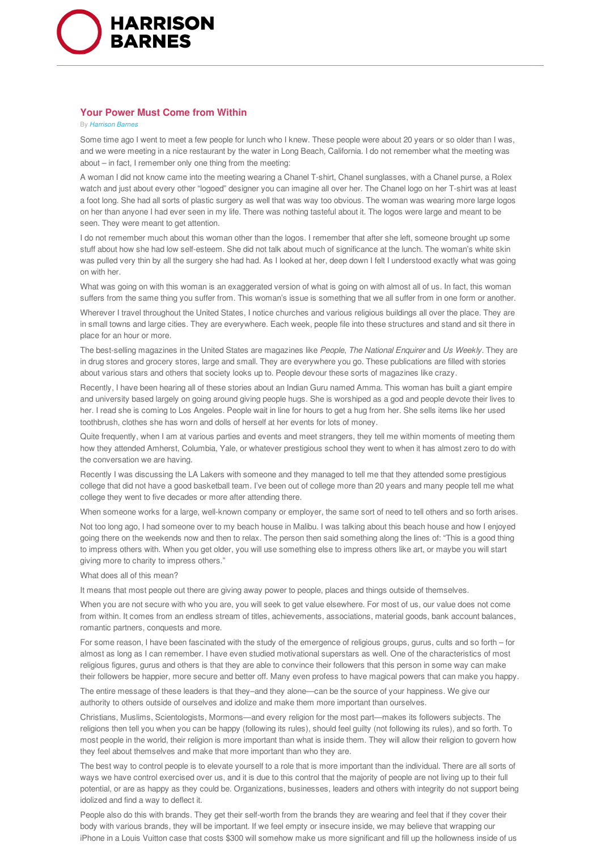

## **Your Power Must Come from Within**

## By *Harrison Barnes*

Some time ago I went to meet a few people for lunch who I knew. These people were about 20 years or so older than I was, and we were meeting in a nice restaurant by the water in Long Beach, California. I do not remember what the meeting was about – in fact, I remember only one thing from the meeting:

A woman I did not know came into the meeting wearing a Chanel T-shirt, Chanel sunglasses, with a Chanel purse, a Rolex watch and just about every other "logoed" designer you can imagine all over her. The Chanel logo on her T-shirt was at least a foot long. She had all sorts of plastic surgery as well that was way too obvious. The woman was wearing more large logos on her than anyone I had ever seen in my life. There was nothing tasteful about it. The logos were large and meant to be seen. They were meant to get attention.

I do not remember much about this woman other than the logos. I remember that after she left, someone brought up some stuff about how she had low self-esteem. She did not talk about much of significance at the lunch. The woman's white skin was pulled very thin by all the surgery she had had. As I looked at her, deep down I felt I understood exactly what was going on with her.

What was going on with this woman is an exaggerated version of what is going on with almost all of us. In fact, this woman suffers from the same thing you suffer from. This woman's issue is something that we all suffer from in one form or another.

Wherever I travel throughout the United States, I notice churches and various religious buildings all over the place. They are in small towns and large cities. They are everywhere. Each week, people file into these structures and stand and sit there in place for an hour or more.

The best-selling magazines in the United States are magazines like *People*, *The National Enquirer* and *Us Weekly.* They are in drug stores and grocery stores, large and small. They are everywhere you go. These publications are filled with stories about various stars and others that society looks up to. People devour these sorts of magazines like crazy.

Recently, I have been hearing all of these stories about an Indian Guru named Amma. This woman has built a giant empire and university based largely on going around giving people hugs. She is worshiped as a god and people devote their lives to her. I read she is coming to Los Angeles. People wait in line for hours to get a hug from her. She sells items like her used toothbrush, clothes she has worn and dolls of herself at her events for lots of money.

Quite frequently, when I am at various parties and events and meet strangers, they tell me within moments of meeting them how they attended Amherst, Columbia, Yale, or whatever prestigious school they went to when it has almost zero to do with the conversation we are having.

Recently I was discussing the LA Lakers with someone and they managed to tell me that they attended some prestigious college that did not have a good basketball team. I've been out of college more than 20 years and many people tell me what college they went to five decades or more after attending there.

When someone works for a large, well-known company or employer, the same sort of need to tell others and so forth arises.

Not too long ago, I had someone over to my beach house in Malibu. I was talking about this beach house and how I enjoyed going there on the weekends now and then to relax. The person then said something along the lines of: "This is a good thing to impress others with. When you get older, you will use something else to impress others like art, or maybe you will start giving more to charity to impress others."

## What does all of this mean?

It means that most people out there are giving away power to people, places and things outside of themselves.

When you are not secure with who you are, you will seek to get value elsewhere. For most of us, our value does not come from within. It comes from an endless stream of titles, achievements, associations, material goods, bank account balances, romantic partners, conquests and more.

For some reason, I have been fascinated with the study of the emergence of religious groups, gurus, cults and so forth – for almost as long as I can remember. I have even studied motivational superstars as well. One of the characteristics of most religious figures, gurus and others is that they are able to convince their followers that this person in some way can make their followers be happier, more secure and better off. Many even profess to have magical powers that can make you happy.

The entire message of these leaders is that they–and they alone—can be the source of your happiness. We give our authority to others outside of ourselves and idolize and make them more important than ourselves.

Christians, Muslims, Scientologists, Mormons—and every religion for the most part—makes its followers subjects. The religions then tell you when you can be happy (following its rules), should feel guilty (not following its rules), and so forth. To most people in the world, their religion is more important than what is inside them. They will allow their religion to govern how they feel about themselves and make that more important than who they are.

The best way to control people is to elevate yourself to a role that is more important than the individual. There are all sorts of ways we have control exercised over us, and it is due to this control that the majority of people are not living up to their full potential, or are as happy as they could be. Organizations, businesses, leaders and others with integrity do not support being idolized and find a way to deflect it.

People also do this with brands. They get their self-worth from the brands they are wearing and feel that if they cover their body with various brands, they will be important. If we feel empty or insecure inside, we may believe that wrapping our iPhone in a Louis Vuitton case that costs \$300 will somehow make us more significant and fill up the hollowness inside of us